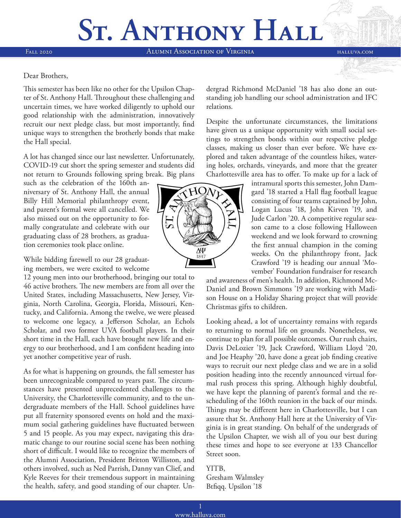# St. ANTHONY HALL

Fall 2020 Alumni Association of Virginia halluva.com

#### Dear Brothers,

This semester has been like no other for the Upsilon Chapter of St. Anthony Hall. Throughout these challenging and uncertain times, we have worked diligently to uphold our good relationship with the administration, innovatively recruit our next pledge class, but most importantly, find unique ways to strengthen the brotherly bonds that make the Hall special.

A lot has changed since our last newsletter. Unfortunately, COVID-19 cut short the spring semester and students did not return to Grounds following spring break. Big plans

such as the celebration of the 160th anniversary of St. Anthony Hall, the annual Billy Hill Memorial philanthropy event, and parent's formal were all cancelled. We also missed out on the opportunity to formally congratulate and celebrate with our graduating class of 28 brothers, as graduation ceremonies took place online.

While bidding farewell to our 28 graduating members, we were excited to welcome

12 young men into our brotherhood, bringing our total to 46 active brothers. The new members are from all over the United States, including Massachusetts, New Jersey, Virginia, North Carolina, Georgia, Florida, Missouri, Kentucky, and California. Among the twelve, we were pleased to welcome one legacy, a Jefferson Scholar, an Echols Scholar, and two former UVA football players. In their short time in the Hall, each have brought new life and energy to our brotherhood, and I am confident heading into yet another competitive year of rush.

As for what is happening on grounds, the fall semester has been unrecognizable compared to years past. The circumstances have presented unprecedented challenges to the University, the Charlottesville community, and to the undergraduate members of the Hall. School guidelines have put all fraternity sponsored events on hold and the maximum social gathering guidelines have fluctuated between 5 and 15 people. As you may expect, navigating this dramatic change to our routine social scene has been nothing short of difficult. I would like to recognize the members of the Alumni Association, President Britton Williston, and others involved, such as Ned Parrish, Danny van Clief, and Kyle Reeves for their tremendous support in maintaining the health, safety, and good standing of our chapter. Undergrad Richmond McDaniel '18 has also done an outstanding job handling our school administration and IFC relations.

Despite the unfortunate circumstances, the limitations have given us a unique opportunity with small social settings to strengthen bonds within our respective pledge classes, making us closer than ever before. We have explored and taken advantage of the countless hikes, watering holes, orchards, vineyards, and more that the greater Charlottesville area has to offer. To make up for a lack of

> intramural sports this semester, John Damgard '18 started a Hall flag football league consisting of four teams captained by John, Logan Lucus '18, John Kirven '19, and Jude Carlon '20. A competitive regular season came to a close following Halloween weekend and we look forward to crowning the first annual champion in the coming weeks. On the philanthropy front, Jack Crawford '19 is heading our annual 'Movember' Foundation fundraiser for research

and awareness of men's health. In addition, Richmond Mc-Daniel and Brown Simmons '19 are working with Madison House on a Holiday Sharing project that will provide Christmas gifts to children.

Looking ahead, a lot of uncertainty remains with regards to returning to normal life on grounds. Nonetheless, we continue to plan for all possible outcomes. Our rush chairs, Davis DeLozier '19, Jack Crawford, William Lloyd '20, and Joe Heaphy '20, have done a great job finding creative ways to recruit our next pledge class and we are in a solid position heading into the recently announced virtual formal rush process this spring. Although highly doubtful, we have kept the planning of parent's formal and the rescheduling of the 160th reunion in the back of our minds. Things may be different here in Charlottesville, but I can assure that St. Anthony Hall here at the University of Virginia is in great standing. On behalf of the undergrads of the Upsilon Chapter, we wish all of you our best during these times and hope to see everyone at 133 Chancellor Street soon.

### YITB, Gresham Walmsley Btfiqq. Upsilon '18

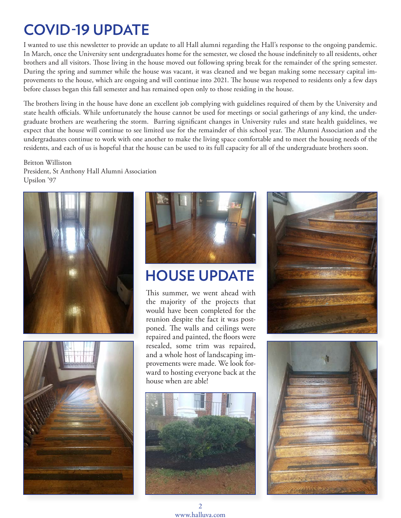# **COVID-19 UPDATE**

I wanted to use this newsletter to provide an update to all Hall alumni regarding the Hall's response to the ongoing pandemic. In March, once the University sent undergraduates home for the semester, we closed the house indefinitely to all residents, other brothers and all visitors. Those living in the house moved out following spring break for the remainder of the spring semester. During the spring and summer while the house was vacant, it was cleaned and we began making some necessary capital improvements to the house, which are ongoing and will continue into 2021. The house was reopened to residents only a few days before classes began this fall semester and has remained open only to those residing in the house.

The brothers living in the house have done an excellent job complying with guidelines required of them by the University and state health officials. While unfortunately the house cannot be used for meetings or social gatherings of any kind, the undergraduate brothers are weathering the storm. Barring significant changes in University rules and state health guidelines, we expect that the house will continue to see limited use for the remainder of this school year. The Alumni Association and the undergraduates continue to work with one another to make the living space comfortable and to meet the housing needs of the residents, and each of us is hopeful that the house can be used to its full capacity for all of the undergraduate brothers soon.

Britton Williston President, St Anthony Hall Alumni Association Upsilon '97







# **HOUSE UPDATE**

This summer, we went ahead with the majority of the projects that would have been completed for the reunion despite the fact it was postponed. The walls and ceilings were repaired and painted, the floors were resealed, some trim was repaired, and a whole host of landscaping improvements were made. We look forward to hosting everyone back at the house when are able!





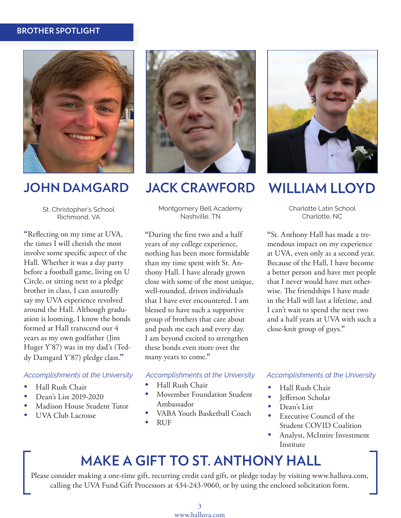### **BROTHER SPOTLIGHT**



St. Christopher's School Richmond, VA

**"**Reflecting on my time at UVA, the times I will cherish the most involve some specific aspect of the Hall. Whether it was a day party before a football game, living on U Circle, or sitting next to a pledge brother in class, I can assuredly say my UVA experience revolved around the Hall. Although graduation is looming, I know the bonds formed at Hall transcend our 4 years as my own godfather (Jim Huger Y'87) was in my dad's (Teddy Damgard Y'87) pledge class.**"**

#### *Accomplishments at the University*

- Hall Rush Chair
- Dean's List 2019-2020
- Madison House Student Tutor
- UVA Club Lacrosse



### **JOHN DAMGARD JACK CRAWFORD WILLIAM LLOYD**

Montgomery Bell Academy Nashville, TN

**"**During the first two and a half years of my college experience, nothing has been more formidable than my time spent with St. Anthony Hall. I have already grown close with some of the most unique, well-rounded, driven individuals that I have ever encountered. I am blessed to have such a supportive group of brothers that care about and push me each and every day. I am beyond excited to strengthen these bonds even more over the many years to come.**"**

*Accomplishments at the University*

- Hall Rush Chair
- Movember Foundation Student Ambassador
- VABA Youth Basketball Coach
- RUF



Charlotte Latin School Charlotte, NC

**"**St. Anthony Hall has made a tremendous impact on my experience at UVA, even only as a second year. Because of the Hall, I have become a better person and have met people that I never would have met otherwise. The friendships I have made in the Hall will last a lifetime, and I can't wait to spend the next two and a half years at UVA with such a close-knit group of guys.**"**

### *Accomplishments at the University*

- Hall Rush Chair
- Jefferson Scholar
- Dean's List
- Executive Council of the Student COVID Coalition
- Analyst, McIntire Investment Institute

### **MAKE A GIFT TO ST. ANTHONY HALL**

Please consider making a one-time gift, recurring credit card gift, or pledge today by visiting www.halluva.com, calling the UVA Fund Gift Processors at 434-243-9060, or by using the enclosed solicitation form.